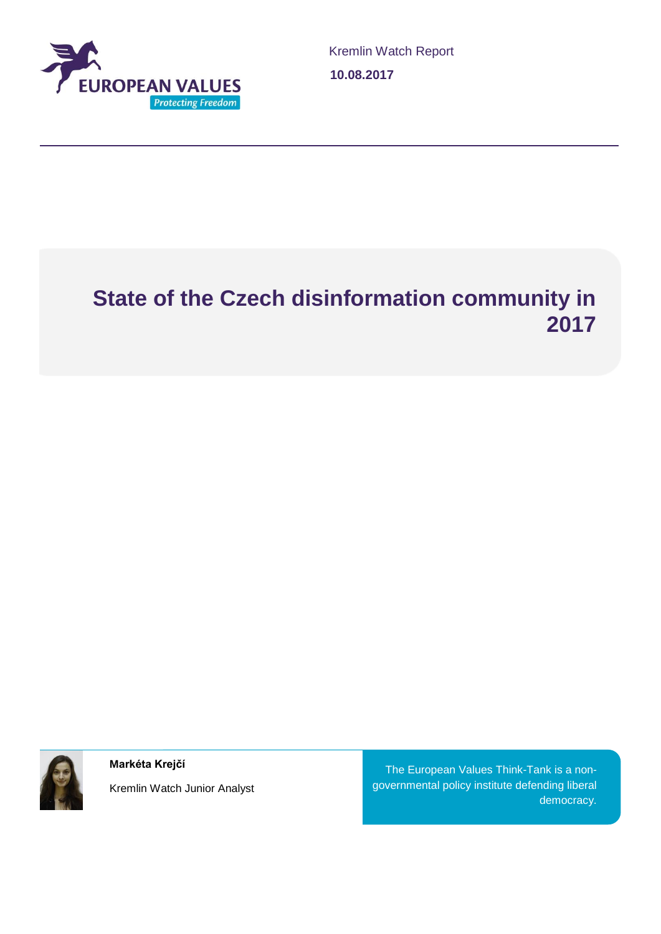

# **State of the Czech disinformation community in 2017**



**Markéta Krejčí**

Kremlin Watch Junior Analyst

The European Values Think-Tank is a nongovernmental policy institute defending liberal democracy.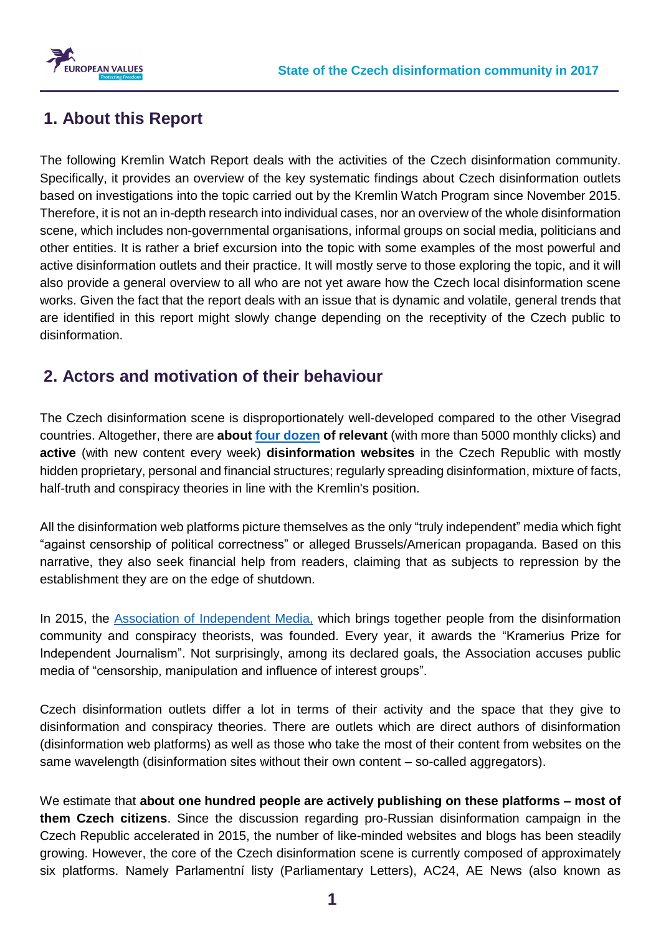

## **1. About this Report**

The following Kremlin Watch Report deals with the activities of the Czech disinformation community. Specifically, it provides an overview of the key systematic findings about Czech disinformation outlets based on investigations into the topic carried out by the Kremlin Watch Program since November 2015. Therefore, it is not an in-depth research into individual cases, nor an overview of the whole disinformation scene, which includes non-governmental organisations, informal groups on social media, politicians and other entities. It is rather a brief excursion into the topic with some examples of the most powerful and active disinformation outlets and their practice. It will mostly serve to those exploring the topic, and it will also provide a general overview to all who are not yet aware how the Czech local disinformation scene works. Given the fact that the report deals with an issue that is dynamic and volatile, general trends that are identified in this report might slowly change depending on the receptivity of the Czech public to disinformation.

### **2. Actors and motivation of their behaviour**

The Czech disinformation scene is disproportionately well-developed compared to the other Visegrad countries. Altogether, there are **about [four dozen](http://www.evropskehodnoty.cz/fungovani-ceskych-dezinformacnich-webu/weby_list/) of relevant** (with more than 5000 monthly clicks) and **active** (with new content every week) **disinformation websites** in the Czech Republic with mostly hidden proprietary, personal and financial structures; regularly spreading disinformation, mixture of facts, half-truth and conspiracy theories in line with the Kremlin's position.

All the disinformation web platforms picture themselves as the only "truly independent" media which fight "against censorship of political correctness" or alleged Brussels/American propaganda. Based on this narrative, they also seek financial help from readers, claiming that as subjects to repression by the establishment they are on the edge of shutdown.

In 2015, the [Association of Independent Media,](http://www.nezavislamedia.cz/) which brings together people from the disinformation community and conspiracy theorists, was founded. Every year, it awards the "Kramerius Prize for Independent Journalism". Not surprisingly, among its declared goals, the Association accuses public media of "censorship, manipulation and influence of interest groups".

Czech disinformation outlets differ a lot in terms of their activity and the space that they give to disinformation and conspiracy theories. There are outlets which are direct authors of disinformation (disinformation web platforms) as well as those who take the most of their content from websites on the same wavelength (disinformation sites without their own content – so-called aggregators).

We estimate that **about one hundred people are actively publishing on these platforms – most of them Czech citizens**. Since the discussion regarding pro-Russian disinformation campaign in the Czech Republic accelerated in 2015, the number of like-minded websites and blogs has been steadily growing. However, the core of the Czech disinformation scene is currently composed of approximately six platforms. Namely Parlamentní listy (Parliamentary Letters), AC24, AE News (also known as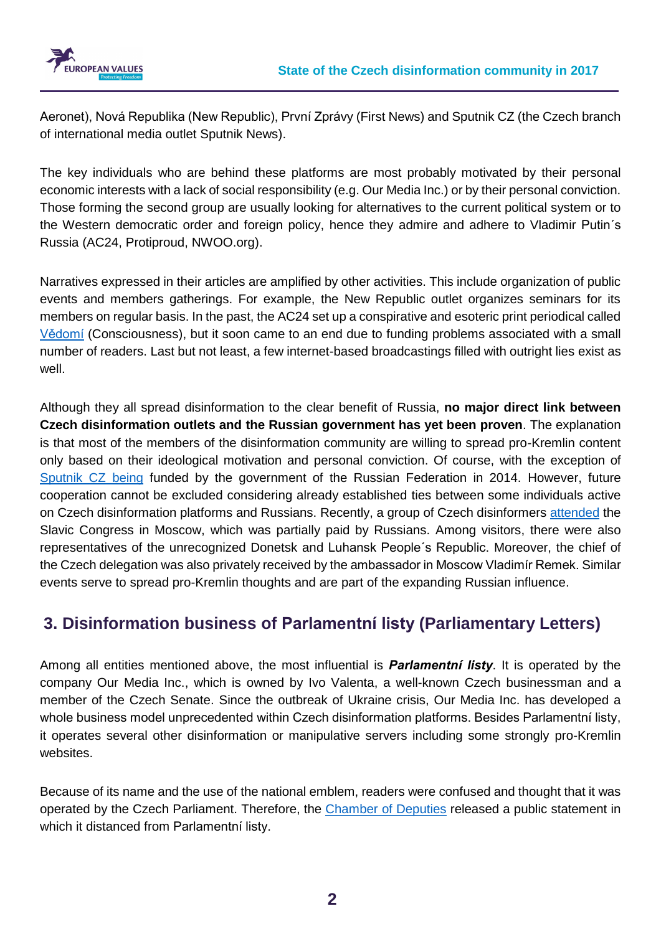

Aeronet), Nová Republika (New Republic), První Zprávy (First News) and Sputnik CZ (the Czech branch of international media outlet Sputnik News).

The key individuals who are behind these platforms are most probably motivated by their personal economic interests with a lack of social responsibility (e.g. Our Media Inc.) or by their personal conviction. Those forming the second group are usually looking for alternatives to the current political system or to the Western democratic order and foreign policy, hence they admire and adhere to Vladimir Putin´s Russia (AC24, Protiproud, NWOO.org).

Narratives expressed in their articles are amplified by other activities. This include organization of public events and members gatherings. For example, the New Republic outlet organizes seminars for its members on regular basis. In the past, the AC24 set up a conspirative and esoteric print periodical called [Vědomí](http://vedomi.cz/) (Consciousness), but it soon came to an end due to funding problems associated with a small number of readers. Last but not least, a few internet-based broadcastings filled with outright lies exist as well.

Although they all spread disinformation to the clear benefit of Russia, **no major direct link between Czech disinformation outlets and the Russian government has yet been proven**. The explanation is that most of the members of the disinformation community are willing to spread pro-Kremlin content only based on their ideological motivation and personal conviction. Of course, with the exception of [Sputnik CZ](https://cz.sputniknews.com/) being funded by the government of the Russian Federation in 2014. However, future cooperation cannot be excluded considering already established ties between some individuals active on Czech disinformation platforms and Russians. Recently, a group of Czech disinformers [attended](https://zpravy.aktualne.cz/domaci/rusove-platili-sjezd-slovanu-prijeli-i-dezinformatori-sefa-c/r~5f186c7a4f7311e7886d002590604f2e/?redirected=1502039065) the Slavic Congress in Moscow, which was partially paid by Russians. Among visitors, there were also representatives of the unrecognized Donetsk and Luhansk People´s Republic. Moreover, the chief of the Czech delegation was also privately received by the ambassador in Moscow Vladimír Remek. Similar events serve to spread pro-Kremlin thoughts and are part of the expanding Russian influence.

## **3. Disinformation business of Parlamentní listy (Parliamentary Letters)**

Among all entities mentioned above, the most influential is *Parlamentní listy*. It is operated by the company Our Media Inc., which is owned by Ivo Valenta, a well-known Czech businessman and a member of the Czech Senate. Since the outbreak of Ukraine crisis, Our Media Inc. has developed a whole business model unprecedented within Czech disinformation platforms. Besides Parlamentní listy, it operates several other disinformation or manipulative servers including some strongly pro-Kremlin websites.

Because of its name and the use of the national emblem, readers were confused and thought that it was operated by the Czech Parliament. Therefore, the Chamber [of Deputies](https://www.psp.cz/sqw/cms.sqw?z=3911) released a public statement in which it distanced from Parlamentní listy.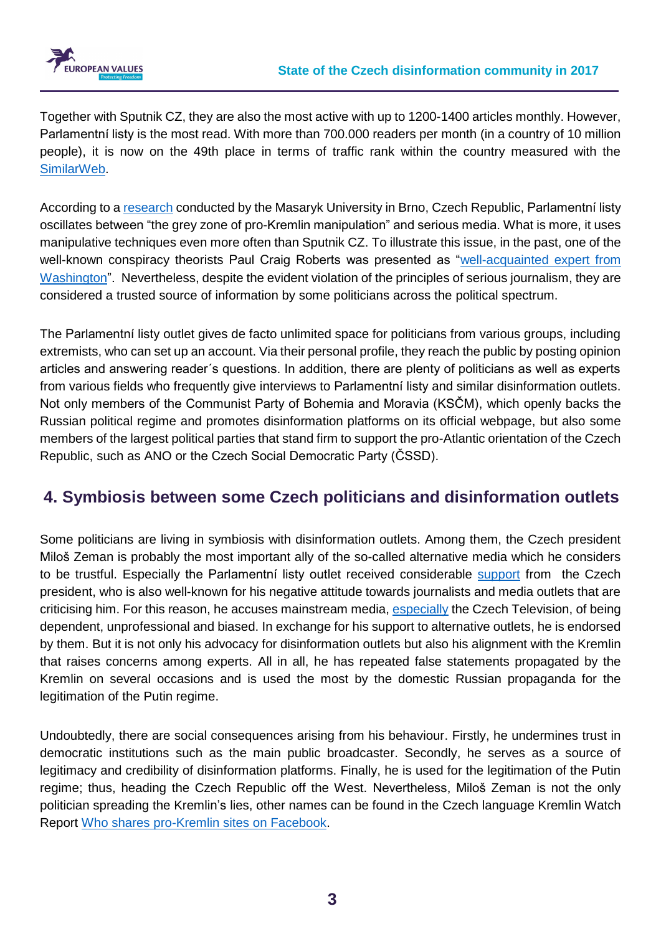

Together with Sputnik CZ, they are also the most active with up to 1200-1400 articles monthly. However, Parlamentní listy is the most read. With more than 700.000 readers per month (in a country of 10 million people), it is now on the 49th place in terms of traffic rank within the country measured with the [SimilarWeb.](https://www.similarweb.com/website/parlamentnilisty.cz#overview)

According to a [research](http://www.evropskehodnoty.cz/wp-content/uploads/2016/06/Vyzkumna_zprava_Analyza_manipulativnich.pdf) conducted by the Masaryk University in Brno, Czech Republic, Parlamentní listy oscillates between "the grey zone of pro-Kremlin manipulation" and serious media. What is more, it uses manipulative techniques even more often than Sputnik CZ. To illustrate this issue, in the past, one of the well-known conspiracy theorists Paul Craig Roberts was presented as "well-acquainted expert from [Washington"](http://www.parlamentnilisty.cz/arena/monitor/Brexit-mozna-zachranil-svet-od-treti-svetove-valky-Obeznameny-expert-z-Washingtonu-ma-jasno-442949). Nevertheless, despite the evident violation of the principles of serious journalism, they are considered a trusted source of information by some politicians across the political spectrum.

The Parlamentní listy outlet gives de facto unlimited space for politicians from various groups, including extremists, who can set up an account. Via their personal profile, they reach the public by posting opinion articles and answering reader´s questions. In addition, there are plenty of politicians as well as experts from various fields who frequently give interviews to Parlamentní listy and similar disinformation outlets. Not only members of the Communist Party of Bohemia and Moravia (KSČM), which openly backs the Russian political regime and promotes disinformation platforms on its official webpage, but also some members of the largest political parties that stand firm to support the pro-Atlantic orientation of the Czech Republic, such as ANO or the Czech Social Democratic Party (ČSSD).

# **4. Symbiosis between some Czech politicians and disinformation outlets**

Some politicians are living in symbiosis with disinformation outlets. Among them, the Czech president Miloš Zeman is probably the most important ally of the so-called alternative media which he considers to be trustful. Especially the Parlamentní listy outlet received considerable [support](http://www.parlamentnilisty.cz/arena/rozhovory/Milos-Zeman-posila-vzkaz-ctenarum-PL-Prozradil-co-chce-dojednat-s-Trumpem-Putinem-a-Si-Tin-pchingem-odsoudil-evropske-politiky-a-promluvil-k-prezidentske-volbe-469221) from the Czech president, who is also well-known for his negative attitude towards journalists and media outlets that are criticising him. For this reason, he accuses mainstream media, [especially](http://www.lidovky.cz/zeman-opet-napadl-ct-neni-objektivni-ani-nezavisla-a-ani-profesionalni-1e9-/zpravy-domov.aspx?c=A170223_174110_ln_domov_gib) the Czech Television, of being dependent, unprofessional and biased. In exchange for his support to alternative outlets, he is endorsed by them. But it is not only his advocacy for disinformation outlets but also his alignment with the Kremlin that raises concerns among experts. All in all, he has repeated false statements propagated by the Kremlin on several occasions and is used the most by the domestic Russian propaganda for the legitimation of the Putin regime.

Undoubtedly, there are social consequences arising from his behaviour. Firstly, he undermines trust in democratic institutions such as the main public broadcaster. Secondly, he serves as a source of legitimacy and credibility of disinformation platforms. Finally, he is used for the legitimation of the Putin regime; thus, heading the Czech Republic off the West. Nevertheless, Miloš Zeman is not the only politician spreading the Kremlin's lies, other names can be found in the Czech language Kremlin Watch Report [Who shares pro-Kremlin sites on Facebook.](file:///C:/Users/Barbara/Documents/EVROPSKÉ%20HODNOTY/Drive/šablony/Who%20shares%20Prokremel%20sites%20on%20Facebook%3f)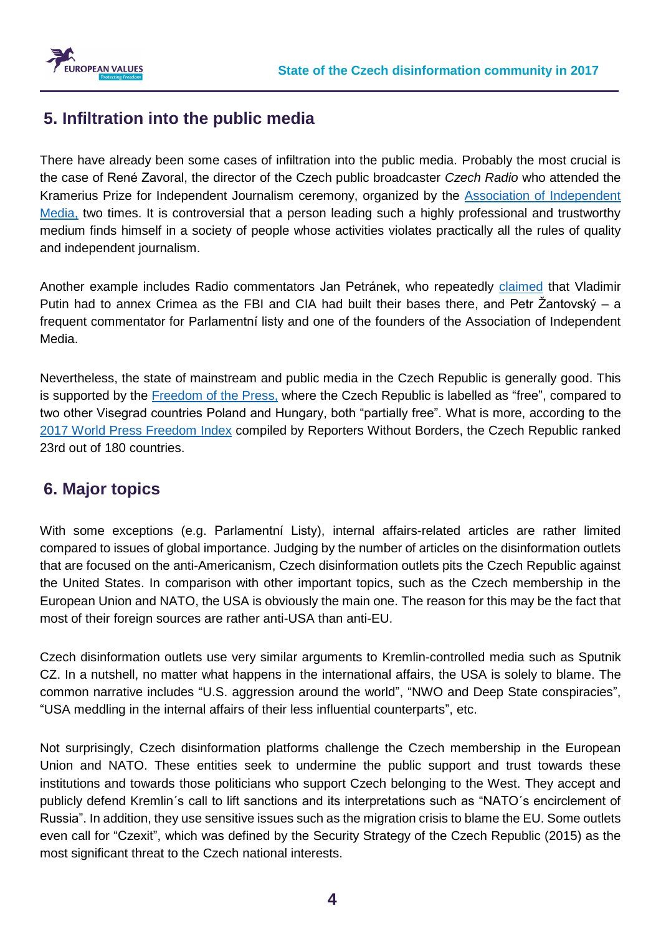



#### **5. Infiltration into the public media**

There have already been some cases of infiltration into the public media. Probably the most crucial is the case of René Zavoral, the director of the Czech public broadcaster *Czech Radio* who attended the Kramerius Prize for Independent Journalism ceremony, organized by the [Association of Independent](http://www.nezavislamedia.cz/)  [Media,](http://www.nezavislamedia.cz/) two times. It is controversial that a person leading such a highly professional and trustworthy medium finds himself in a society of people whose activities violates practically all the rules of quality and independent journalism.

Another example includes Radio commentators Jan Petránek, who repeatedly [claimed](http://www.parlamentnilisty.cz/arena/monitor/Zkuseni-odbornici-k-Rusku-Neni-to-agresor-zoufale-se-brani-Na-Krymu-staveli-sidla-pro-CIA-a-FBI-Putin-to-musel-zjistit-Cesko-pohlcene-evropskym-superstatem-429860) that Vladimir Putin had to annex Crimea as the FBI and CIA had built their bases there, and Petr Žantovský – a frequent commentator for Parlamentní listy and one of the founders of the Association of Independent Media.

Nevertheless, the state of mainstream and public media in the Czech Republic is generally good. This is supported by the [Freedom of the Press,](https://freedomhouse.org/report/freedom-press/2016/czech-republic) where the Czech Republic is labelled as "free", compared to two other Visegrad countries Poland and Hungary, both "partially free". What is more, according to the [2017 World Press Freedom Index](https://rsf.org/en/czech-republic) compiled by Reporters Without Borders, the Czech Republic ranked 23rd out of 180 countries.

#### **6. Major topics**

With some exceptions (e.g. Parlamentní Listy), internal affairs-related articles are rather limited compared to issues of global importance. Judging by the number of articles on the disinformation outlets that are focused on the anti-Americanism, Czech disinformation outlets pits the Czech Republic against the United States. In comparison with other important topics, such as the Czech membership in the European Union and NATO, the USA is obviously the main one. The reason for this may be the fact that most of their foreign sources are rather anti-USA than anti-EU.

Czech disinformation outlets use very similar arguments to Kremlin-controlled media such as Sputnik CZ. In a nutshell, no matter what happens in the international affairs, the USA is solely to blame. The common narrative includes "U.S. aggression around the world", "NWO and Deep State conspiracies", "USA meddling in the internal affairs of their less influential counterparts", etc.

Not surprisingly, Czech disinformation platforms challenge the Czech membership in the European Union and NATO. These entities seek to undermine the public support and trust towards these institutions and towards those politicians who support Czech belonging to the West. They accept and publicly defend Kremlin´s call to lift sanctions and its interpretations such as "NATO´s encirclement of Russia". In addition, they use sensitive issues such as the migration crisis to blame the EU. Some outlets even call for "Czexit", which was defined by the Security Strategy of the Czech Republic (2015) as the most significant threat to the Czech national interests.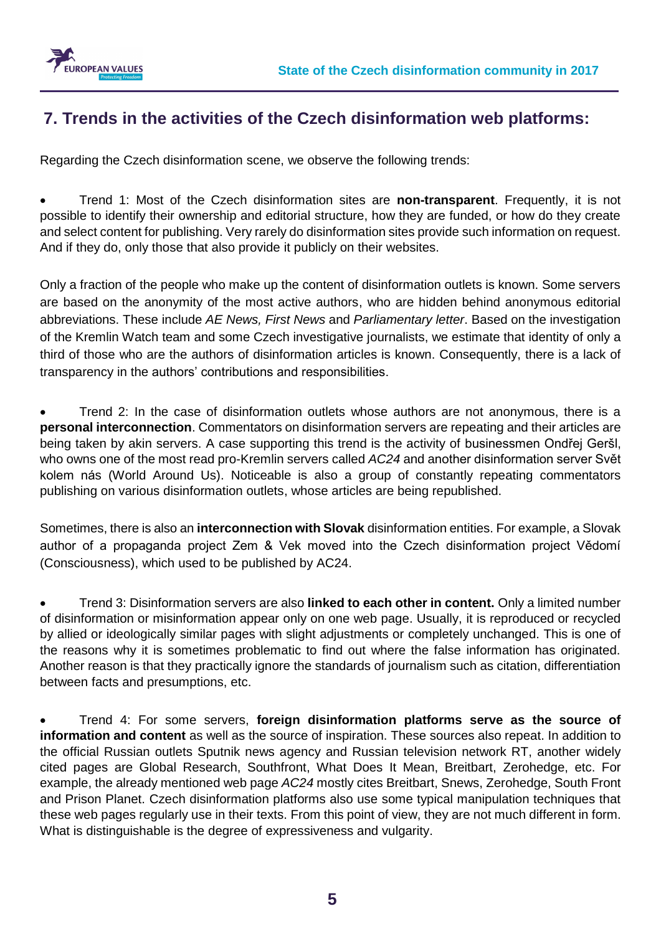

### **7. Trends in the activities of the Czech disinformation web platforms:**

Regarding the Czech disinformation scene, we observe the following trends:

• Trend 1: Most of the Czech disinformation sites are **non-transparent**. Frequently, it is not possible to identify their ownership and editorial structure, how they are funded, or how do they create and select content for publishing. Very rarely do disinformation sites provide such information on request. And if they do, only those that also provide it publicly on their websites.

Only a fraction of the people who make up the content of disinformation outlets is known. Some servers are based on the anonymity of the most active authors, who are hidden behind anonymous editorial abbreviations. These include *AE News, First News* and *Parliamentary letter*. Based on the investigation of the Kremlin Watch team and some Czech investigative journalists, we estimate that identity of only a third of those who are the authors of disinformation articles is known. Consequently, there is a lack of transparency in the authors' contributions and responsibilities.

• Trend 2: In the case of disinformation outlets whose authors are not anonymous, there is a **personal interconnection**. Commentators on disinformation servers are repeating and their articles are being taken by akin servers. A case supporting this trend is the activity of businessmen Ondřej Geršl, who owns one of the most read pro-Kremlin servers called *AC24* and another disinformation server Svět kolem nás (World Around Us). Noticeable is also a group of constantly repeating commentators publishing on various disinformation outlets, whose articles are being republished.

Sometimes, there is also an **interconnection with Slovak** disinformation entities. For example, a Slovak author of a propaganda project Zem & Vek moved into the Czech disinformation project Vědomí (Consciousness), which used to be published by AC24.

• Trend 3: Disinformation servers are also **linked to each other in content.** Only a limited number of disinformation or misinformation appear only on one web page. Usually, it is reproduced or recycled by allied or ideologically similar pages with slight adjustments or completely unchanged. This is one of the reasons why it is sometimes problematic to find out where the false information has originated. Another reason is that they practically ignore the standards of journalism such as citation, differentiation between facts and presumptions, etc.

• Trend 4: For some servers, **foreign disinformation platforms serve as the source of information and content** as well as the source of inspiration. These sources also repeat. In addition to the official Russian outlets Sputnik news agency and Russian television network RT, another widely cited pages are Global Research, Southfront, What Does It Mean, Breitbart, Zerohedge, etc. For example, the already mentioned web page *AC24* mostly cites Breitbart, Snews, Zerohedge, South Front and Prison Planet. Czech disinformation platforms also use some typical manipulation techniques that these web pages regularly use in their texts. From this point of view, they are not much different in form. What is distinguishable is the degree of expressiveness and vulgarity.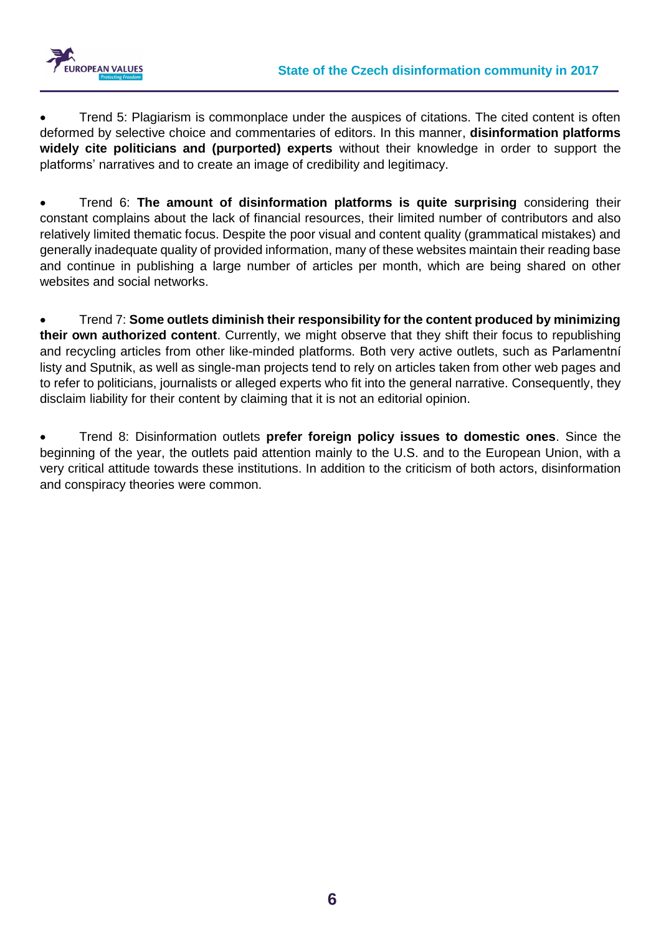

• Trend 5: Plagiarism is commonplace under the auspices of citations. The cited content is often deformed by selective choice and commentaries of editors. In this manner, **disinformation platforms widely cite politicians and (purported) experts** without their knowledge in order to support the platforms' narratives and to create an image of credibility and legitimacy.

• Trend 6: **The amount of disinformation platforms is quite surprising** considering their constant complains about the lack of financial resources, their limited number of contributors and also relatively limited thematic focus. Despite the poor visual and content quality (grammatical mistakes) and generally inadequate quality of provided information, many of these websites maintain their reading base and continue in publishing a large number of articles per month, which are being shared on other websites and social networks.

• Trend 7: **Some outlets diminish their responsibility for the content produced by minimizing their own authorized content**. Currently, we might observe that they shift their focus to republishing and recycling articles from other like-minded platforms. Both very active outlets, such as Parlamentní listy and Sputnik, as well as single-man projects tend to rely on articles taken from other web pages and to refer to politicians, journalists or alleged experts who fit into the general narrative. Consequently, they disclaim liability for their content by claiming that it is not an editorial opinion.

• Trend 8: Disinformation outlets **prefer foreign policy issues to domestic ones**. Since the beginning of the year, the outlets paid attention mainly to the U.S. and to the European Union, with a very critical attitude towards these institutions. In addition to the criticism of both actors, disinformation and conspiracy theories were common.